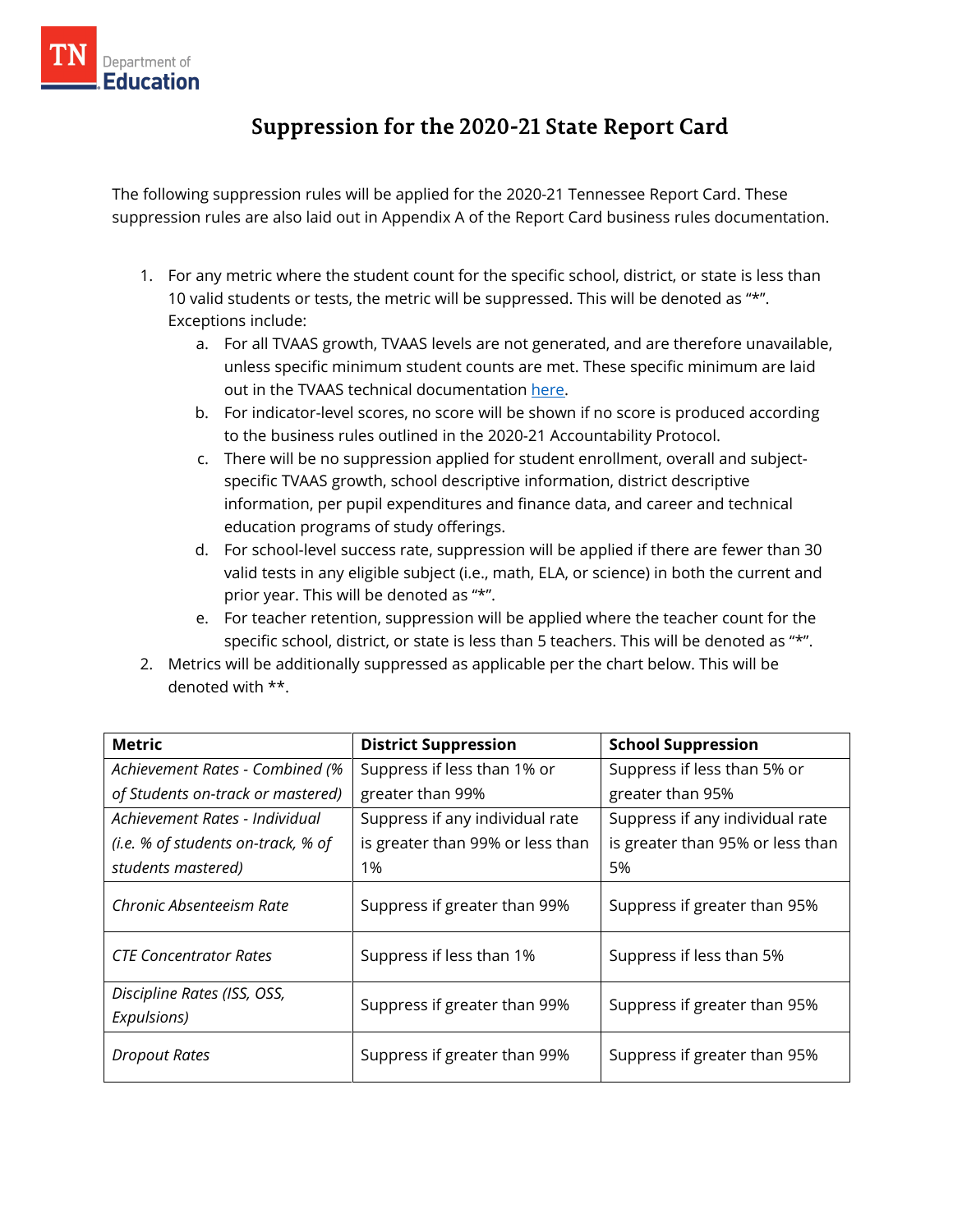

## **Suppression for the 2020-21 State Report Card**

The following suppression rules will be applied for the 2020-21 Tennessee Report Card. These suppression rules are also laid out in Appendix A of the Report Card business rules documentation.

- 1. For any metric where the student count for the specific school, district, or state is less than 10 valid students or tests, the metric will be suppressed. This will be denoted as "\*". Exceptions include:
	- a. For all TVAAS growth, TVAAS levels are not generated, and are therefore unavailable, unless specific minimum student counts are met. These specific minimum are laid out in the TVAAS technical documentation [here.](https://tvaas.sas.com/support/TVAAS-Statistical-Models-and-Business-Rules.pdf)
	- b. For indicator-level scores, no score will be shown if no score is produced according to the business rules outlined in the 2020-21 [Accountability Protocol.](https://www.tn.gov/content/dam/tn/education/accountability/2020-2021_Accountability_Protocol.pdf)
	- c. There will be no suppression applied for student enrollment, overall and subjectspecific TVAAS growth, school descriptive information, district descriptive information, per pupil expenditures and finance data, and career and technical education programs of study offerings.
	- d. For school-level success rate, suppression will be applied if there are fewer than 30 valid tests in any eligible subject (i.e., math, ELA, or science) in both the current and prior year. This will be denoted as "\*".
	- e. For teacher retention, suppression will be applied where the teacher count for the specific school, district, or state is less than 5 teachers. This will be denoted as "\*".
- 2. Metrics will be additionally suppressed as applicable per the chart below. This will be denoted with \*\*.

| <b>Metric</b>                              | <b>District Suppression</b>      | <b>School Suppression</b>        |
|--------------------------------------------|----------------------------------|----------------------------------|
| Achievement Rates - Combined (%            | Suppress if less than 1% or      | Suppress if less than 5% or      |
| of Students on-track or mastered)          | greater than 99%                 | greater than 95%                 |
| Achievement Rates - Individual             | Suppress if any individual rate  | Suppress if any individual rate  |
| (i.e. % of students on-track, % of         | is greater than 99% or less than | is greater than 95% or less than |
| students mastered)                         | 1%                               | 5%                               |
| Chronic Absenteeism Rate                   | Suppress if greater than 99%     | Suppress if greater than 95%     |
| <b>CTE Concentrator Rates</b>              | Suppress if less than 1%         | Suppress if less than 5%         |
| Discipline Rates (ISS, OSS,<br>Expulsions) | Suppress if greater than 99%     | Suppress if greater than 95%     |
| Dropout Rates                              | Suppress if greater than 99%     | Suppress if greater than 95%     |